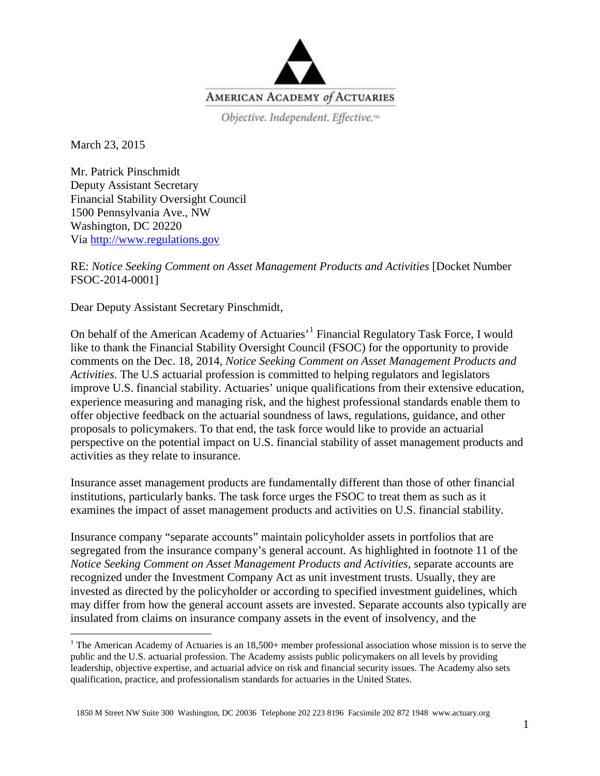

Objective. Independent. Effective.<sup>14</sup>

March 23, 2015

Mr. Patrick Pinschmidt Deputy Assistant Secretary Financial Stability Oversight Council 1500 Pennsylvania Ave., NW Washington, DC 20220 Via [http://www.regulations.gov](http://www.regulations.gov/)

RE: *Notice Seeking Comment on Asset Management Products and Activities* [Docket Number FSOC-2014-0001]

Dear Deputy Assistant Secretary Pinschmidt,

On behalf of the American Academy of Actuaries<sup>, [1](#page-0-0)</sup> Financial Regulatory Task Force, I would like to thank the Financial Stability Oversight Council (FSOC) for the opportunity to provide comments on the Dec. 18, 2014, *Notice Seeking Comment on Asset Management Products and Activities*. The U.S actuarial profession is committed to helping regulators and legislators improve U.S. financial stability. Actuaries' unique qualifications from their extensive education, experience measuring and managing risk, and the highest professional standards enable them to offer objective feedback on the actuarial soundness of laws, regulations, guidance, and other proposals to policymakers. To that end, the task force would like to provide an actuarial perspective on the potential impact on U.S. financial stability of asset management products and activities as they relate to insurance.

Insurance asset management products are fundamentally different than those of other financial institutions, particularly banks. The task force urges the FSOC to treat them as such as it examines the impact of asset management products and activities on U.S. financial stability.

Insurance company "separate accounts" maintain policyholder assets in portfolios that are segregated from the insurance company's general account. As highlighted in footnote 11 of the *Notice Seeking Comment on Asset Management Products and Activities*, separate accounts are recognized under the Investment Company Act as unit investment trusts. Usually, they are invested as directed by the policyholder or according to specified investment guidelines, which may differ from how the general account assets are invested. Separate accounts also typically are insulated from claims on insurance company assets in the event of insolvency, and the

<span id="page-0-0"></span><sup>&</sup>lt;sup>1</sup> The American Academy of Actuaries is an  $18,500+$  member professional association whose mission is to serve the public and the U.S. actuarial profession. The Academy assists public policymakers on all levels by providing leadership, objective expertise, and actuarial advice on risk and financial security issues. The Academy also sets qualification, practice, and professionalism standards for actuaries in the United States.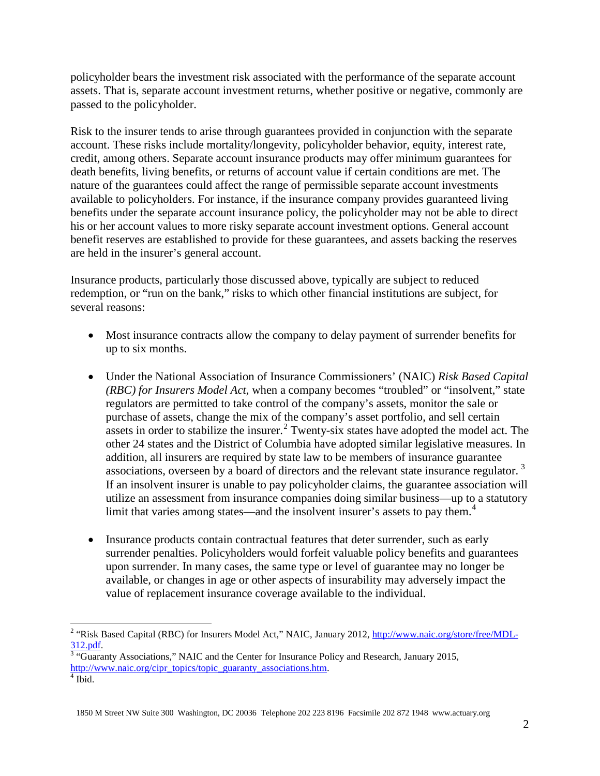policyholder bears the investment risk associated with the performance of the separate account assets. That is, separate account investment returns, whether positive or negative, commonly are passed to the policyholder.

Risk to the insurer tends to arise through guarantees provided in conjunction with the separate account. These risks include mortality/longevity, policyholder behavior, equity, interest rate, credit, among others. Separate account insurance products may offer minimum guarantees for death benefits, living benefits, or returns of account value if certain conditions are met. The nature of the guarantees could affect the range of permissible separate account investments available to policyholders. For instance, if the insurance company provides guaranteed living benefits under the separate account insurance policy, the policyholder may not be able to direct his or her account values to more risky separate account investment options. General account benefit reserves are established to provide for these guarantees, and assets backing the reserves are held in the insurer's general account.

Insurance products, particularly those discussed above, typically are subject to reduced redemption, or "run on the bank," risks to which other financial institutions are subject, for several reasons:

- Most insurance contracts allow the company to delay payment of surrender benefits for up to six months.
- Under the National Association of Insurance Commissioners' (NAIC) *Risk Based Capital (RBC) for Insurers Model Act*, when a company becomes "troubled" or "insolvent," state regulators are permitted to take control of the company's assets, monitor the sale or purchase of assets, change the mix of the company's asset portfolio, and sell certain assets in order to stabilize the insurer.<sup>[2](#page-1-0)</sup> Twenty-six states have adopted the model act. The other 24 states and the District of Columbia have adopted similar legislative measures. In addition, all insurers are required by state law to be members of insurance guarantee associations, overseen by a board of directors and the relevant state insurance regulator.  $3$ If an insolvent insurer is unable to pay policyholder claims, the guarantee association will utilize an assessment from insurance companies doing similar business—up to a statutory limit that varies among states—and the insolvent insurer's assets to pay them.<sup>[4](#page-1-2)</sup>
- Insurance products contain contractual features that deter surrender, such as early surrender penalties. Policyholders would forfeit valuable policy benefits and guarantees upon surrender. In many cases, the same type or level of guarantee may no longer be available, or changes in age or other aspects of insurability may adversely impact the value of replacement insurance coverage available to the individual.

<span id="page-1-0"></span><sup>&</sup>lt;sup>2</sup> "Risk Based Capital (RBC) for Insurers Model Act," NAIC, January 2012, [http://www.naic.org/store/free/MDL-](http://www.naic.org/store/free/MDL-312.pdf)

<span id="page-1-2"></span><span id="page-1-1"></span> $\frac{312.pdf}{^{3}}$  $\frac{312.pdf}{^{3}}$  $\frac{312.pdf}{^{3}}$  "Guaranty Associations," NAIC and the Center for Insurance Policy and Research, January 2015, [http://www.naic.org/cipr\\_topics/topic\\_guaranty\\_associations.htm.](http://www.naic.org/cipr_topics/topic_guaranty_associations.htm) [4](http://www.naic.org/cipr_topics/topic_guaranty_associations.htm) Ibid.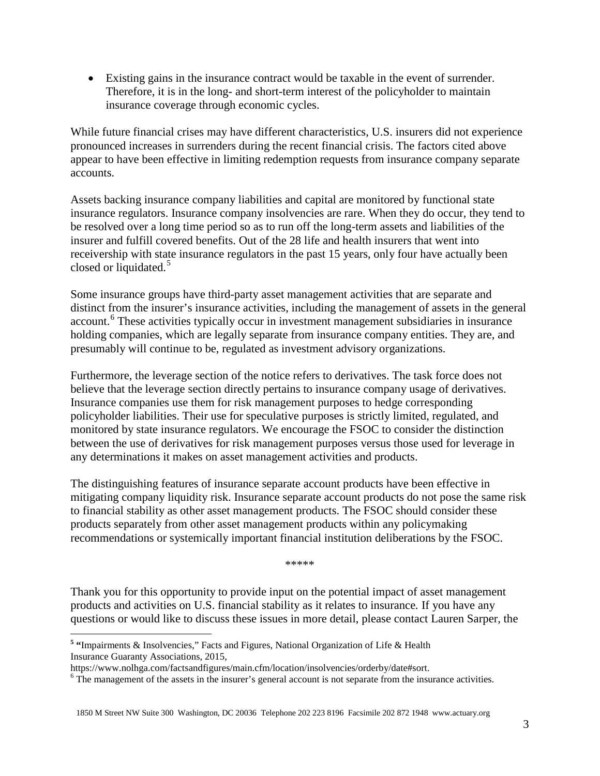• Existing gains in the insurance contract would be taxable in the event of surrender. Therefore, it is in the long- and short-term interest of the policyholder to maintain insurance coverage through economic cycles.

While future financial crises may have different characteristics, U.S. insurers did not experience pronounced increases in surrenders during the recent financial crisis. The factors cited above appear to have been effective in limiting redemption requests from insurance company separate accounts.

Assets backing insurance company liabilities and capital are monitored by functional state insurance regulators. Insurance company insolvencies are rare. When they do occur, they tend to be resolved over a long time period so as to run off the long-term assets and liabilities of the insurer and fulfill covered benefits. Out of the 28 life and health insurers that went into receivership with state insurance regulators in the past 15 years, only four have actually been closed or liquidated.<sup>[5](#page-2-0)</sup>

Some insurance groups have third-party asset management activities that are separate and distinct from the insurer's insurance activities, including the management of assets in the general account.<sup>[6](#page-2-1)</sup> These activities typically occur in investment management subsidiaries in insurance holding companies, which are legally separate from insurance company entities. They are, and presumably will continue to be, regulated as investment advisory organizations.

Furthermore, the leverage section of the notice refers to derivatives. The task force does not believe that the leverage section directly pertains to insurance company usage of derivatives. Insurance companies use them for risk management purposes to hedge corresponding policyholder liabilities. Their use for speculative purposes is strictly limited, regulated, and monitored by state insurance regulators. We encourage the FSOC to consider the distinction between the use of derivatives for risk management purposes versus those used for leverage in any determinations it makes on asset management activities and products.

The distinguishing features of insurance separate account products have been effective in mitigating company liquidity risk. Insurance separate account products do not pose the same risk to financial stability as other asset management products. The FSOC should consider these products separately from other asset management products within any policymaking recommendations or systemically important financial institution deliberations by the FSOC.

\*\*\*\*\*

Thank you for this opportunity to provide input on the potential impact of asset management products and activities on U.S. financial stability as it relates to insurance*.* If you have any questions or would like to discuss these issues in more detail, please contact Lauren Sarper, the

<span id="page-2-0"></span>**<sup>5</sup> "**Impairments & Insolvencies," Facts and Figures, National Organization of Life & Health Insurance Guaranty Associations, 2015,<br>https://www.nolhga.com/factsandfigures/main.cfm/location/insolvencies/orderby/date#sort.

<span id="page-2-1"></span> $6$  The management of the assets in the insurer's general account is not separate from the insurance activities.